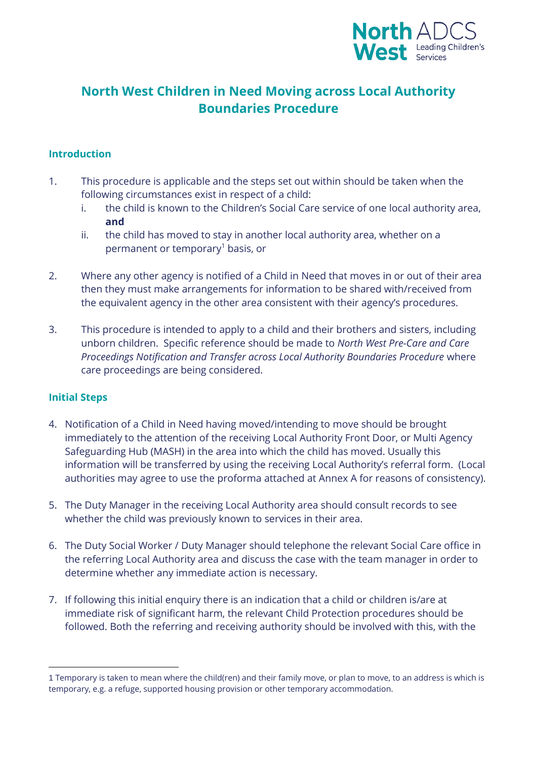

# **North West Children in Need Moving across Local Authority Boundaries Procedure**

### **Introduction**

- 1. This procedure is applicable and the steps set out within should be taken when the following circumstances exist in respect of a child:
	- i. the child is known to the Children's Social Care service of one local authority area, **and**
	- ii. the child has moved to stay in another local authority area, whether on a permanent or temporary<sup>1</sup> basis, or
- 2. Where any other agency is notified of a Child in Need that moves in or out of their area then they must make arrangements for information to be shared with/received from the equivalent agency in the other area consistent with their agency's procedures.
- 3. This procedure is intended to apply to a child and their brothers and sisters, including unborn children. Specific reference should be made to *North West Pre-Care and Care Proceedings Notification and Transfer across Local Authority Boundaries Procedure* where care proceedings are being considered.

#### **Initial Steps**

1

- 4. Notification of a Child in Need having moved/intending to move should be brought immediately to the attention of the receiving Local Authority Front Door, or Multi Agency Safeguarding Hub (MASH) in the area into which the child has moved. Usually this information will be transferred by using the receiving Local Authority's referral form. (Local authorities may agree to use the proforma attached at Annex A for reasons of consistency).
- 5. The Duty Manager in the receiving Local Authority area should consult records to see whether the child was previously known to services in their area.
- 6. The Duty Social Worker / Duty Manager should telephone the relevant Social Care office in the referring Local Authority area and discuss the case with the team manager in order to determine whether any immediate action is necessary.
- 7. If following this initial enquiry there is an indication that a child or children is/are at immediate risk of significant harm, the relevant Child Protection procedures should be followed. Both the referring and receiving authority should be involved with this, with the

<sup>1</sup> Temporary is taken to mean where the child(ren) and their family move, or plan to move, to an address is which is temporary, e.g. a refuge, supported housing provision or other temporary accommodation.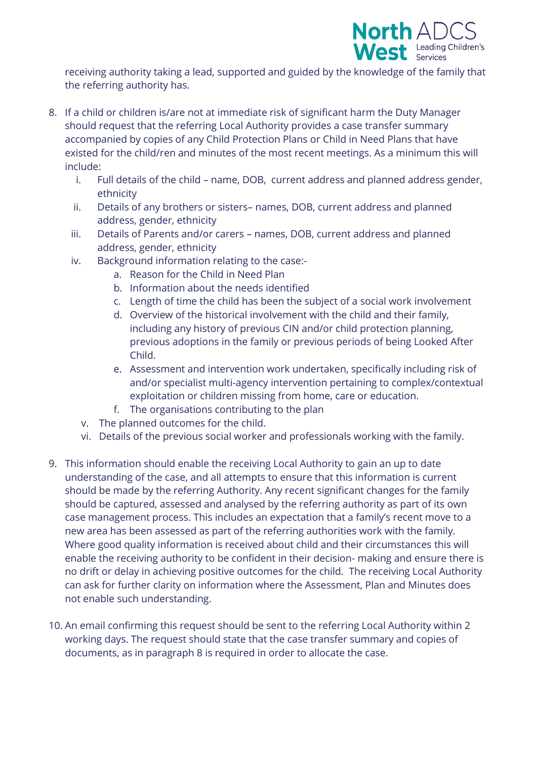

receiving authority taking a lead, supported and guided by the knowledge of the family that the referring authority has.

- 8. If a child or children is/are not at immediate risk of significant harm the Duty Manager should request that the referring Local Authority provides a case transfer summary accompanied by copies of any Child Protection Plans or Child in Need Plans that have existed for the child/ren and minutes of the most recent meetings. As a minimum this will include:
	- i. Full details of the child name, DOB, current address and planned address gender, ethnicity
	- ii. Details of any brothers or sisters– names, DOB, current address and planned address, gender, ethnicity
	- iii. Details of Parents and/or carers names, DOB, current address and planned address, gender, ethnicity
	- iv. Background information relating to the case:
		- a. Reason for the Child in Need Plan
		- b. Information about the needs identified
		- c. Length of time the child has been the subject of a social work involvement
		- d. Overview of the historical involvement with the child and their family, including any history of previous CIN and/or child protection planning, previous adoptions in the family or previous periods of being Looked After Child.
		- e. Assessment and intervention work undertaken, specifically including risk of and/or specialist multi-agency intervention pertaining to complex/contextual exploitation or children missing from home, care or education.
		- f. The organisations contributing to the plan
		- v. The planned outcomes for the child.
		- vi. Details of the previous social worker and professionals working with the family.
- 9. This information should enable the receiving Local Authority to gain an up to date understanding of the case, and all attempts to ensure that this information is current should be made by the referring Authority. Any recent significant changes for the family should be captured, assessed and analysed by the referring authority as part of its own case management process. This includes an expectation that a family's recent move to a new area has been assessed as part of the referring authorities work with the family. Where good quality information is received about child and their circumstances this will enable the receiving authority to be confident in their decision- making and ensure there is no drift or delay in achieving positive outcomes for the child. The receiving Local Authority can ask for further clarity on information where the Assessment, Plan and Minutes does not enable such understanding.
- 10. An email confirming this request should be sent to the referring Local Authority within 2 working days. The request should state that the case transfer summary and copies of documents, as in paragraph 8 is required in order to allocate the case.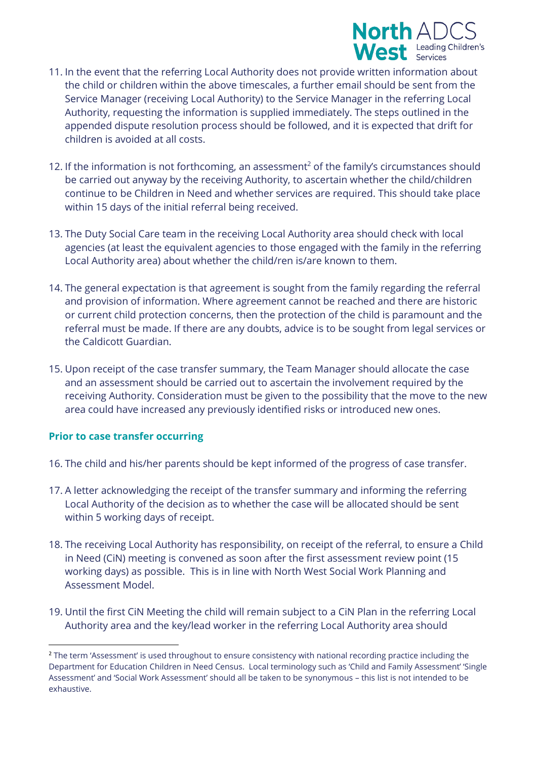

- 11. In the event that the referring Local Authority does not provide written information about the child or children within the above timescales, a further email should be sent from the Service Manager (receiving Local Authority) to the Service Manager in the referring Local Authority, requesting the information is supplied immediately. The steps outlined in the appended dispute resolution process should be followed, and it is expected that drift for children is avoided at all costs.
- 12. If the information is not forthcoming, an assessment<sup>2</sup> of the family's circumstances should be carried out anyway by the receiving Authority, to ascertain whether the child/children continue to be Children in Need and whether services are required. This should take place within 15 days of the initial referral being received.
- 13. The Duty Social Care team in the receiving Local Authority area should check with local agencies (at least the equivalent agencies to those engaged with the family in the referring Local Authority area) about whether the child/ren is/are known to them.
- 14. The general expectation is that agreement is sought from the family regarding the referral and provision of information. Where agreement cannot be reached and there are historic or current child protection concerns, then the protection of the child is paramount and the referral must be made. If there are any doubts, advice is to be sought from legal services or the Caldicott Guardian.
- 15. Upon receipt of the case transfer summary, the Team Manager should allocate the case and an assessment should be carried out to ascertain the involvement required by the receiving Authority. Consideration must be given to the possibility that the move to the new area could have increased any previously identified risks or introduced new ones.

#### **Prior to case transfer occurring**

**.** 

- 16. The child and his/her parents should be kept informed of the progress of case transfer.
- 17. A letter acknowledging the receipt of the transfer summary and informing the referring Local Authority of the decision as to whether the case will be allocated should be sent within 5 working days of receipt.
- 18. The receiving Local Authority has responsibility, on receipt of the referral, to ensure a Child in Need (CiN) meeting is convened as soon after the first assessment review point (15 working days) as possible. This is in line with North West Social Work Planning and Assessment Model.
- 19. Until the first CiN Meeting the child will remain subject to a CiN Plan in the referring Local Authority area and the key/lead worker in the referring Local Authority area should

<sup>&</sup>lt;sup>2</sup> The term 'Assessment' is used throughout to ensure consistency with national recording practice including the Department for Education Children in Need Census. Local terminology such as 'Child and Family Assessment' 'Single Assessment' and 'Social Work Assessment' should all be taken to be synonymous – this list is not intended to be exhaustive.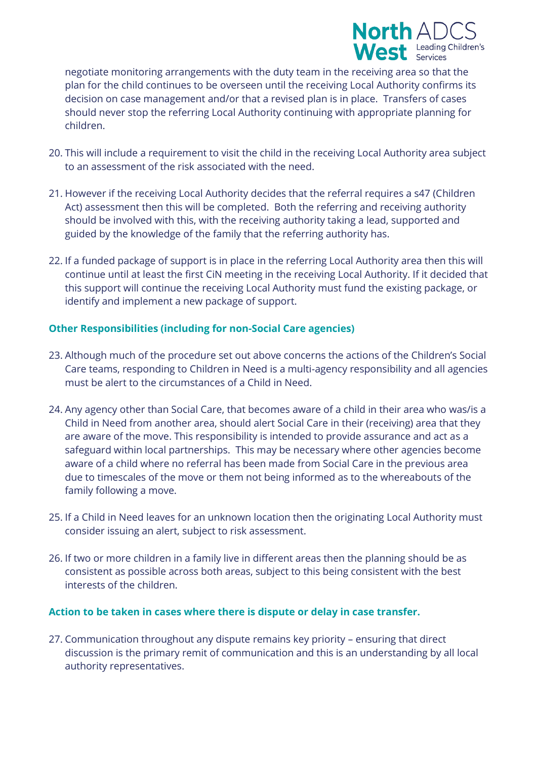

negotiate monitoring arrangements with the duty team in the receiving area so that the plan for the child continues to be overseen until the receiving Local Authority confirms its decision on case management and/or that a revised plan is in place. Transfers of cases should never stop the referring Local Authority continuing with appropriate planning for children.

- 20. This will include a requirement to visit the child in the receiving Local Authority area subject to an assessment of the risk associated with the need.
- 21. However if the receiving Local Authority decides that the referral requires a s47 (Children Act) assessment then this will be completed. Both the referring and receiving authority should be involved with this, with the receiving authority taking a lead, supported and guided by the knowledge of the family that the referring authority has.
- 22. If a funded package of support is in place in the referring Local Authority area then this will continue until at least the first CiN meeting in the receiving Local Authority. If it decided that this support will continue the receiving Local Authority must fund the existing package, or identify and implement a new package of support.

## **Other Responsibilities (including for non-Social Care agencies)**

- 23. Although much of the procedure set out above concerns the actions of the Children's Social Care teams, responding to Children in Need is a multi-agency responsibility and all agencies must be alert to the circumstances of a Child in Need.
- 24. Any agency other than Social Care, that becomes aware of a child in their area who was/is a Child in Need from another area, should alert Social Care in their (receiving) area that they are aware of the move. This responsibility is intended to provide assurance and act as a safeguard within local partnerships. This may be necessary where other agencies become aware of a child where no referral has been made from Social Care in the previous area due to timescales of the move or them not being informed as to the whereabouts of the family following a move.
- 25. If a Child in Need leaves for an unknown location then the originating Local Authority must consider issuing an alert, subject to risk assessment.
- 26. If two or more children in a family live in different areas then the planning should be as consistent as possible across both areas, subject to this being consistent with the best interests of the children.

#### **Action to be taken in cases where there is dispute or delay in case transfer.**

27. Communication throughout any dispute remains key priority – ensuring that direct discussion is the primary remit of communication and this is an understanding by all local authority representatives.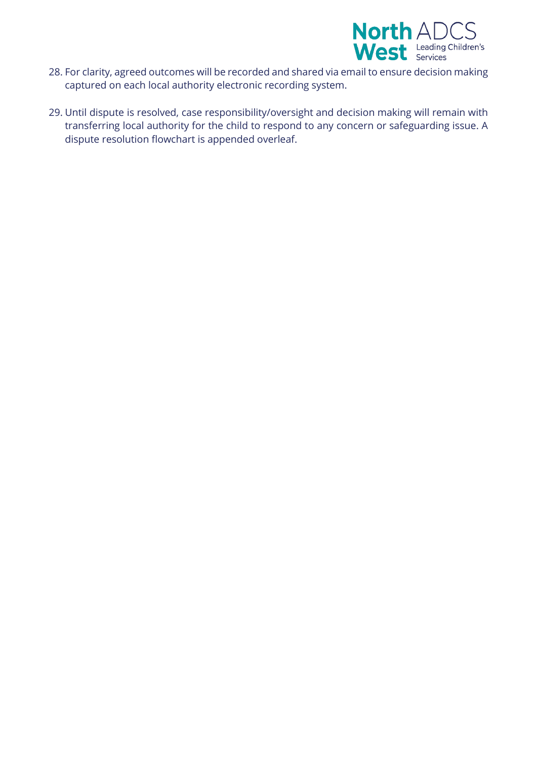

- 28. For clarity, agreed outcomes will be recorded and shared via email to ensure decision making captured on each local authority electronic recording system.
- 29. Until dispute is resolved, case responsibility/oversight and decision making will remain with transferring local authority for the child to respond to any concern or safeguarding issue. A dispute resolution flowchart is appended overleaf.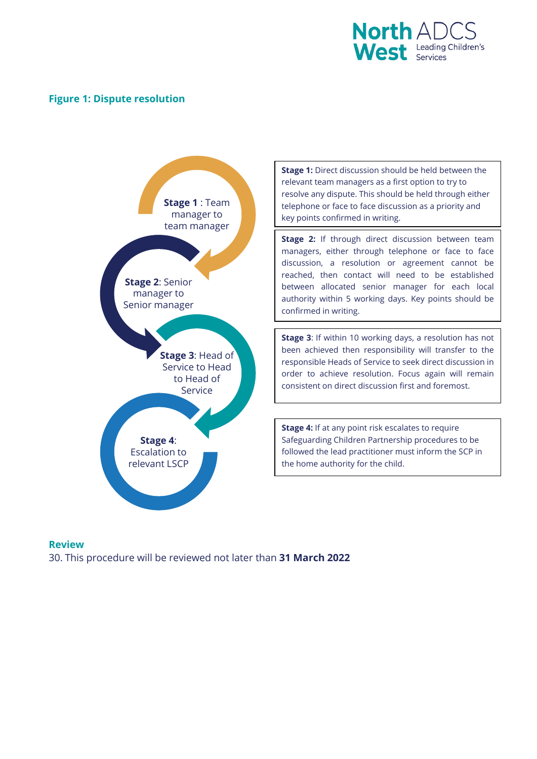

#### **Figure 1: Dispute resolution**



**Stage 1:** Direct discussion should be held between the relevant team managers as a first option to try to resolve any dispute. This should be held through either telephone or face to face discussion as a priority and key points confirmed in writing.

**Stage 2:** If through direct discussion between team managers, either through telephone or face to face discussion, a resolution or agreement cannot be reached, then contact will need to be established between allocated senior manager for each local authority within 5 working days. Key points should be confirmed in writing.

**Stage 3**: If within 10 working days, a resolution has not been achieved then responsibility will transfer to the responsible Heads of Service to seek direct discussion in order to achieve resolution. Focus again will remain consistent on direct discussion first and foremost.

**Stage 4:** If at any point risk escalates to require Safeguarding Children Partnership procedures to be followed the lead practitioner must inform the SCP in the home authority for the child.

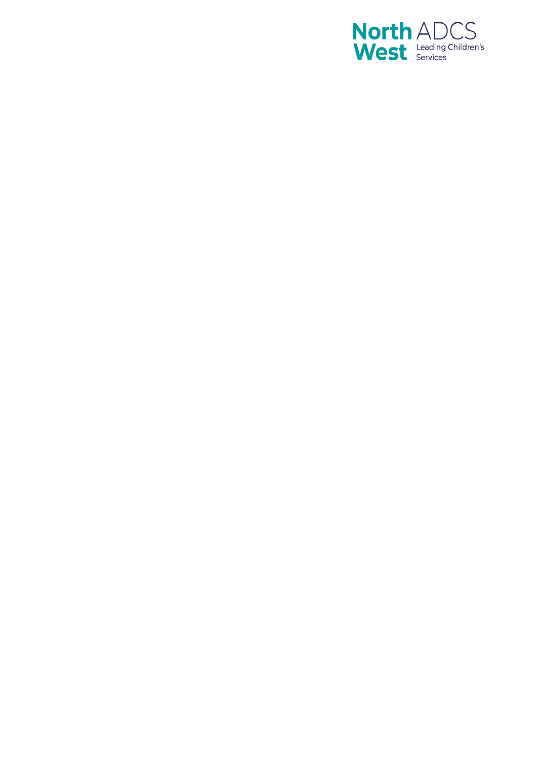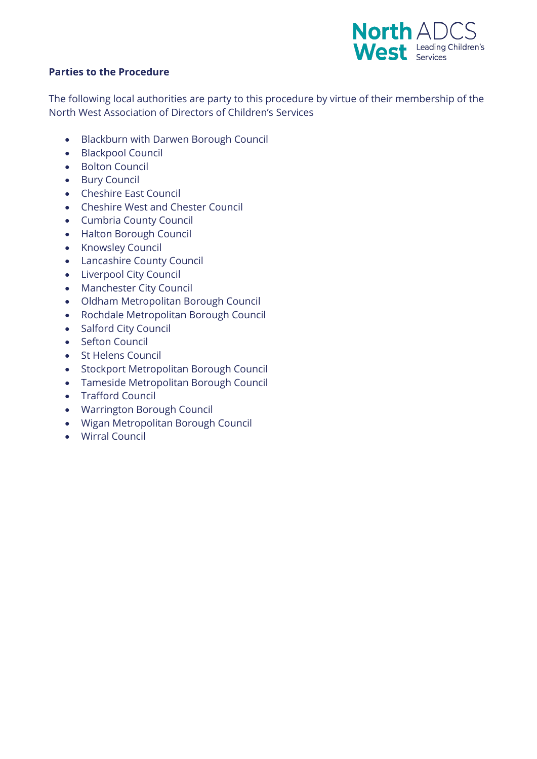

### **Parties to the Procedure**

The following local authorities are party to this procedure by virtue of their membership of the North West Association of Directors of Children's Services

- Blackburn with Darwen Borough Council
- Blackpool Council
- Bolton Council
- Bury Council
- Cheshire East Council
- Cheshire West and Chester Council
- Cumbria County Council
- Halton Borough Council
- Knowsley Council
- Lancashire County Council
- Liverpool City Council
- Manchester City Council
- Oldham Metropolitan Borough Council
- Rochdale Metropolitan Borough Council
- Salford City Council
- Sefton Council
- St Helens Council
- Stockport Metropolitan Borough Council
- Tameside Metropolitan Borough Council
- Trafford Council
- Warrington Borough Council
- Wigan Metropolitan Borough Council
- Wirral Council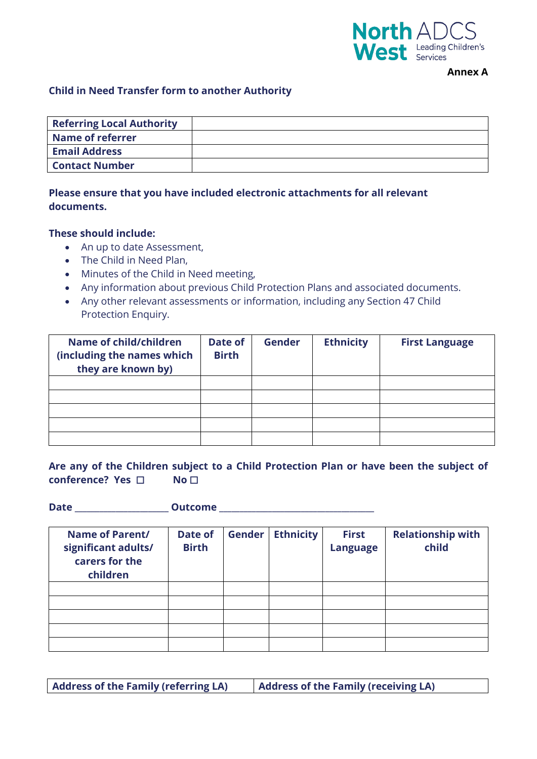

**Annex A**

#### **Child in Need Transfer form to another Authority**

| <b>Referring Local Authority</b> |  |
|----------------------------------|--|
| Name of referrer                 |  |
| <b>Email Address</b>             |  |
| <b>Contact Number</b>            |  |

# **Please ensure that you have included electronic attachments for all relevant documents.**

#### **These should include:**

- An up to date Assessment,
- The Child in Need Plan,
- Minutes of the Child in Need meeting,
- Any information about previous Child Protection Plans and associated documents.
- Any other relevant assessments or information, including any Section 47 Child Protection Enquiry.

| Name of child/children<br>(including the names which<br>they are known by) | Date of<br><b>Birth</b> | Gender | <b>Ethnicity</b> | <b>First Language</b> |
|----------------------------------------------------------------------------|-------------------------|--------|------------------|-----------------------|
|                                                                            |                         |        |                  |                       |
|                                                                            |                         |        |                  |                       |
|                                                                            |                         |        |                  |                       |
|                                                                            |                         |        |                  |                       |
|                                                                            |                         |        |                  |                       |

## **Are any of the Children subject to a Child Protection Plan or have been the subject of conference? Yes** ☐ **No** ☐

**Date \_\_\_\_\_\_\_\_\_\_\_\_\_\_\_\_\_\_\_\_\_\_\_ Outcome \_\_\_\_\_\_\_\_\_\_\_\_\_\_\_\_\_\_\_\_\_\_\_\_\_\_\_\_\_\_\_\_\_\_\_\_\_\_**

| <b>Name of Parent/</b><br>significant adults/<br>carers for the<br>children | Date of<br><b>Birth</b> | <b>Gender</b> | <b>Ethnicity</b> | <b>First</b><br><b>Language</b> | <b>Relationship with</b><br>child |
|-----------------------------------------------------------------------------|-------------------------|---------------|------------------|---------------------------------|-----------------------------------|
|                                                                             |                         |               |                  |                                 |                                   |
|                                                                             |                         |               |                  |                                 |                                   |
|                                                                             |                         |               |                  |                                 |                                   |
|                                                                             |                         |               |                  |                                 |                                   |
|                                                                             |                         |               |                  |                                 |                                   |

| <b>Address of the Family (referring LA)</b> | Address of the Family (receiving LA) |
|---------------------------------------------|--------------------------------------|
|---------------------------------------------|--------------------------------------|